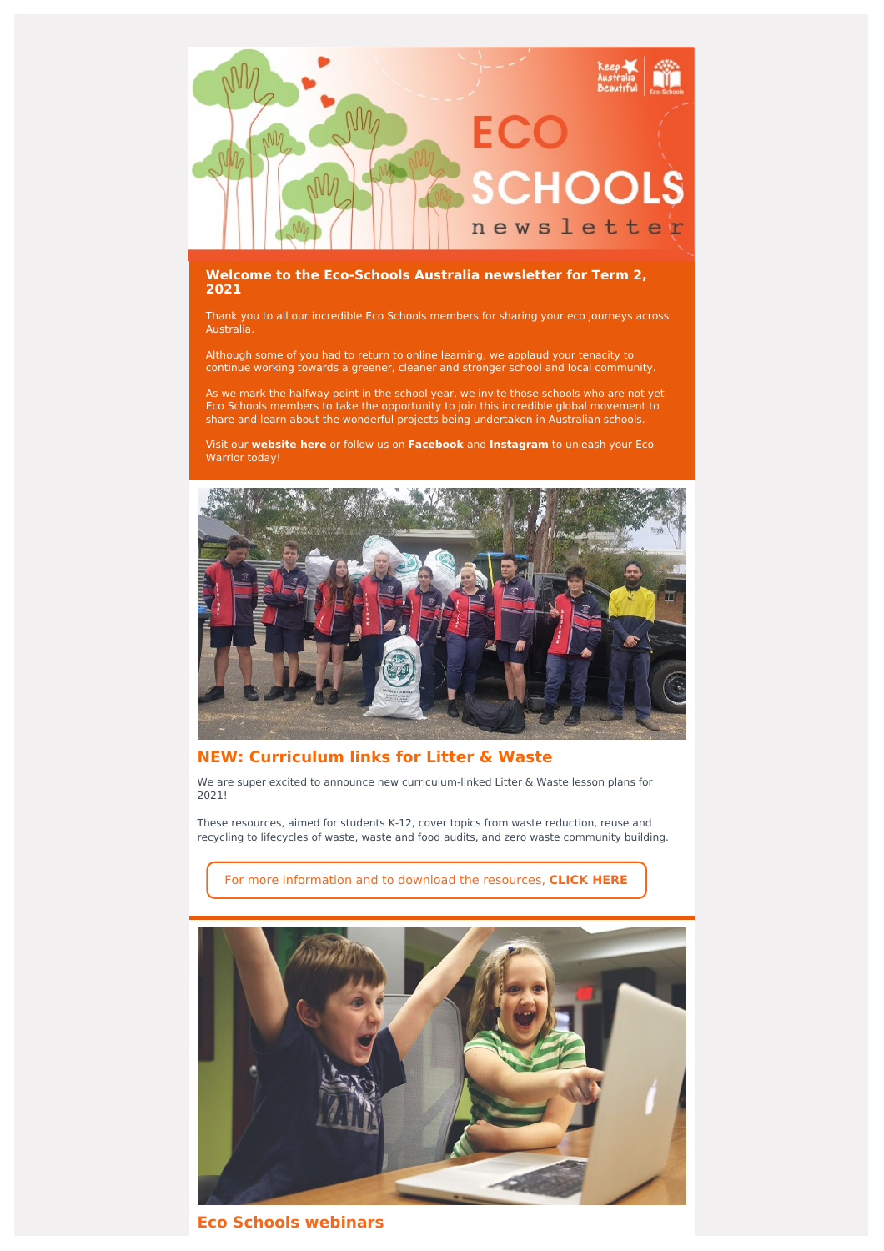

## **Welcome to the Eco-Schools Australia newsletter for Term 2, 2021**

Thank you to all our incredible Eco Schools members for sharing your eco journeys across Australia.

Although some of you had to return to online learning, we applaud your tenacity to continue working towards a greener, cleaner and stronger school and local community.

As we mark the halfway point in the school year, we invite those schools who are not yet Eco Schools members to take the opportunity to join this incredible global movement to share and learn about the wonderful projects being undertaken in Australian schools.

Visit our **[website](http://www.eco-schools.org.au/) here** or follow us on **[Facebook](https://www.facebook.com/ecoschoolsaustralia/)** and **[Instagram](https://www.instagram.com/ecoschoolsaustralia/?hl=en)** to unleash your Eco Warrior today!



# **NEW: Curriculum links for Litter & Waste**

We are super excited to announce new curriculum-linked Litter & Waste lesson plans for 2021!

These resources, aimed for students K-12, cover topics from waste reduction, reuse and recycling to lifecycles of waste, waste and food audits, and zero waste community building.

For more [information](https://www.eco-schools.org.au/teacher-resources-2) and to download the resources, **CLICK HERE**



**Eco Schools webinars**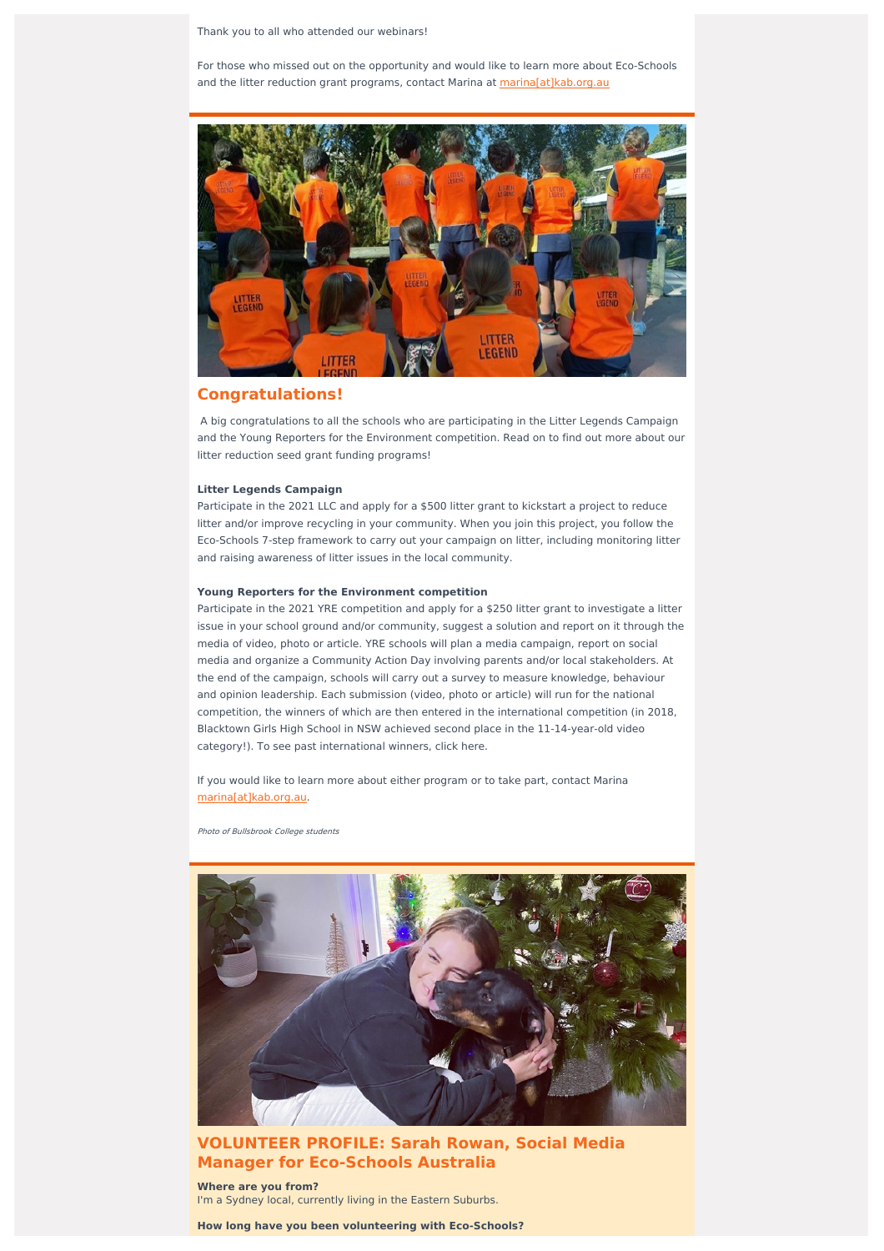Thank you to all who attended our webinars!

For those who missed out on the opportunity and would like to learn more about Eco-Schools and the litter reduction grant programs, contact Marina at [marina\[at\]kab.org.au](mailto:marina@kab.org.au?subject=Eco-Schools%20webinar)



## **Congratulations!**

A big congratulations to all the schools who are participating in the Litter Legends Campaign and the Young Reporters for the Environment competition. Read on to find out more about our litter reduction seed grant funding programs!

#### **Litter Legends Campaign**

Participate in the 2021 LLC and apply for a \$500 litter grant to kickstart a project to reduce litter and/or improve recycling in your community. When you join this project, you follow the Eco-Schools 7-step framework to carry out your campaign on litter, including monitoring litter and raising awareness of litter issues in the local community.

### **Young Reporters for the Environment competition**

Participate in the 2021 YRE competition and apply for a \$250 litter grant to investigate a litter issue in your school ground and/or community, suggest a solution and report on it through the media of video, photo or article. YRE schools will plan a media campaign, report on social media and organize a Community Action Day involving parents and/or local stakeholders. At the end of the campaign, schools will carry out a survey to measure knowledge, behaviour and opinion leadership. Each submission (video, photo or article) will run for the national competition, the winners of which are then entered in the international competition (in 2018, Blacktown Girls High School in NSW achieved second place in the 11-14-year-old video category!). To see past international winners, click here.

If you would like to learn more about either program or to take part, contact Marina [marina\[at\]kab.org.au](mailto:marina@kab.org.au).

Photo of Bullsbrook College students



## **VOLUNTEER PROFILE: Sarah Rowan, Social Media Manager for Eco-Schools Australia**

**Where are you from?** I'm a Sydney local, currently living in the Eastern Suburbs.

**How long have you been volunteering with Eco-Schools?**